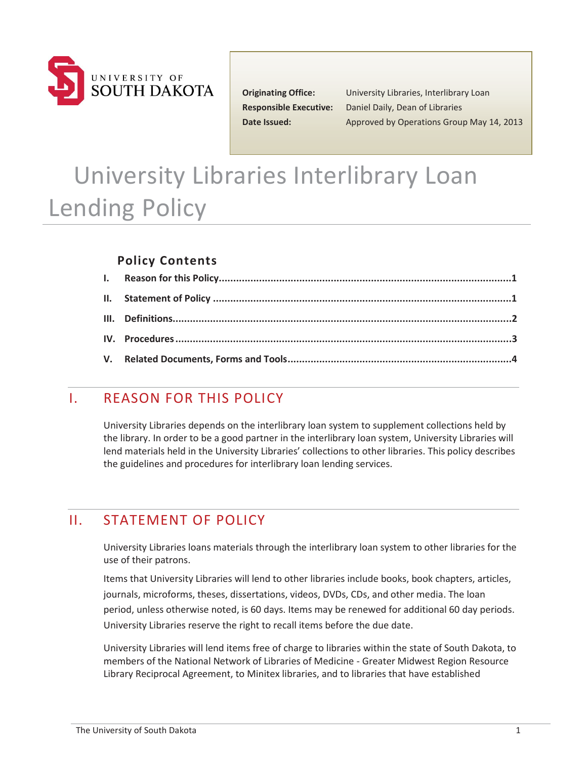

**Responsible Executive:** Date Issued:

**Originating Office:** University Libraries, Interlibrary Loan **Daniel Daily, Dean of Libraries Date Issued:** Approved by Operations Group May 14, 2013

# University Libraries Interlibrary Loan Lending Policy

#### **Policy Contents**

## I. REASON FOR THIS POLICY

University Libraries depends on the interlibrary loan system to supplement collections held by the library. In order to be a good partner in the interlibrary loan system, University Libraries will lend materials held in the University Libraries' collections to other libraries. This policy describes the guidelines and procedures for interlibrary loan lending services.

## II. STATEMENT OF POLICY

University Libraries loans materials through the interlibrary loan system to other libraries for the use of their patrons.

Items that University Libraries will lend to other libraries include books, book chapters, articles, journals, microforms, theses, dissertations, videos, DVDs, CDs, and other media. The loan period, unless otherwise noted, is 60 days. Items may be renewed for additional 60 day periods. University Libraries reserve the right to recall items before the due date.

 University Libraries will lend items free of charge to libraries within the state of South Dakota, to members of the National Network of Libraries of Medicine - Greater Midwest Region Resource Library Reciprocal Agreement, to Minitex libraries, and to libraries that have established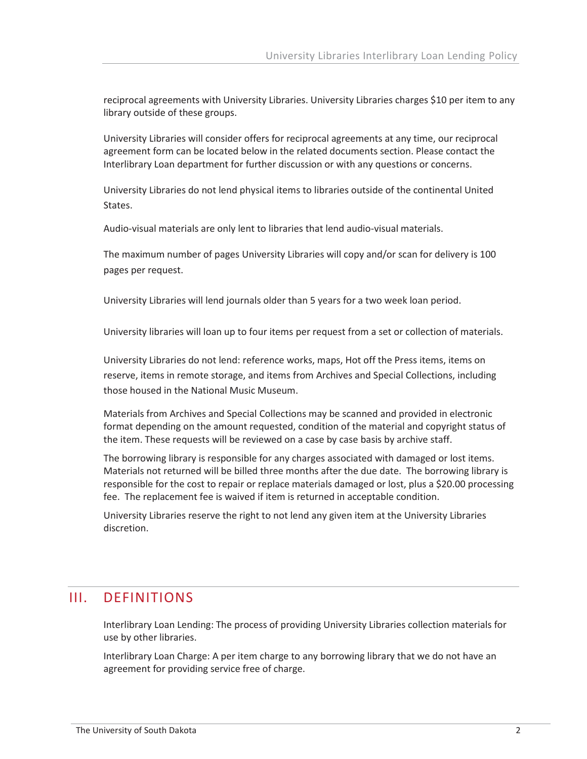reciprocal agreements with University Libraries. University Libraries charges \$10 per item to any library outside of these groups.

University Libraries will consider offers for reciprocal agreements at any time, our reciprocal agreement form can be located below in the related documents section. Please contact the Interlibrary Loan department for further discussion or with any questions or concerns.

University Libraries do not lend physical items to libraries outside of the continental United States.

Audio-visual materials are only lent to libraries that lend audio-visual materials.

The maximum number of pages University Libraries will copy and/or scan for delivery is 100 pages per request.

University Libraries will lend journals older than 5 years for a two week loan period.

University libraries will loan up to four items per request from a set or collection of materials.

those housed in the National Music Museum. University Libraries do not lend: reference works, maps, Hot off the Press items, items on reserve, items in remote storage, and items from Archives and Special Collections, including

Materials from Archives and Special Collections may be scanned and provided in electronic format depending on the amount requested, condition of the material and copyright status of the item. These requests will be reviewed on a case by case basis by archive staff.

The borrowing library is responsible for any charges associated with damaged or lost items. Materials not returned will be billed three months after the due date. The borrowing library is responsible for the cost to repair or replace materials damaged or lost, plus a \$20.00 processing fee. The replacement fee is waived if item is returned in acceptable condition.

University Libraries reserve the right to not lend any given item at the University Libraries discretion.

#### III. DEFINITIONS

Interlibrary Loan Lending: The process of providing University Libraries collection materials for use by other libraries.

Interlibrary Loan Charge: A per item charge to any borrowing library that we do not have an agreement for providing service free of charge.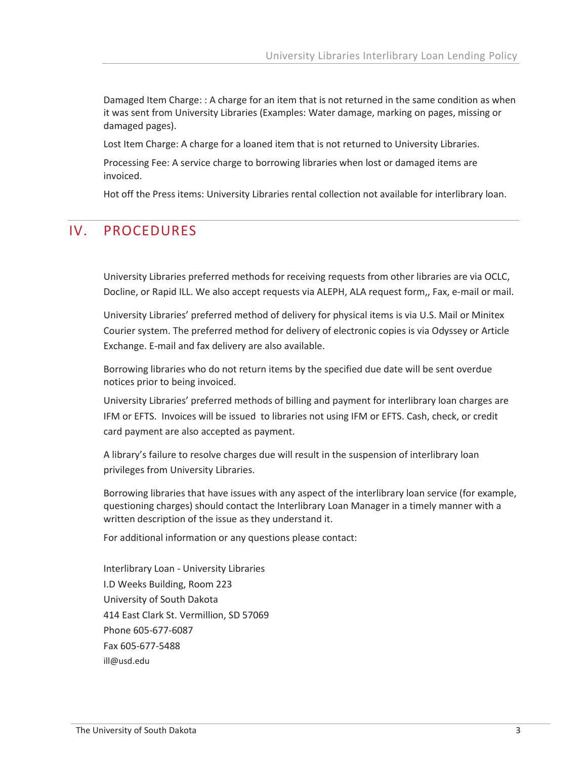Damaged Item Charge: : A charge for an item that is not returned in the same condition as when it was sent from University Libraries (Examples: Water damage, marking on pages, missing or damaged pages).

Lost Item Charge: A charge for a loaned item that is not returned to University Libraries.

Processing Fee: A service charge to borrowing libraries when lost or damaged items are invoiced.

Hot off the Press items: University Libraries rental collection not available for interlibrary loan.

#### IV. PROCEDURES

 University Libraries preferred methods for receiving requests from other libraries are via OCLC, Docline, or Rapid ILL. We also accept requests via ALEPH, ALA request form,, Fax, e-mail or mail.

University Libraries' preferred method of delivery for physical items is via U.S. Mail or Minitex Courier system. The preferred method for delivery of electronic copies is via Odyssey or Article Exchange. E-mail and fax delivery are also available.

Borrowing libraries who do not return items by the specified due date will be sent overdue notices prior to being invoiced.

University Libraries' preferred methods of billing and payment for interlibrary loan charges are IFM or EFTS. Invoices will be issued to libraries not using IFM or EFTS. Cash, check, or credit card payment are also accepted as payment.

A library's failure to resolve charges due will result in the suspension of interlibrary loan privileges from University Libraries.

Borrowing libraries that have issues with any aspect of the interlibrary loan service (for example, questioning charges) should contact the Interlibrary Loan Manager in a timely manner with a written description of the issue as they understand it.

For additional information or any questions please contact:

 I.D Weeks Building, Room 223 Interlibrary Loan - University Libraries University of South Dakota 414 East Clark St. Vermillion, SD 57069 Phone 605-677-6087 Fax 605-677-5488 [ill@usd.edu](mailto:ill@usd.edu)